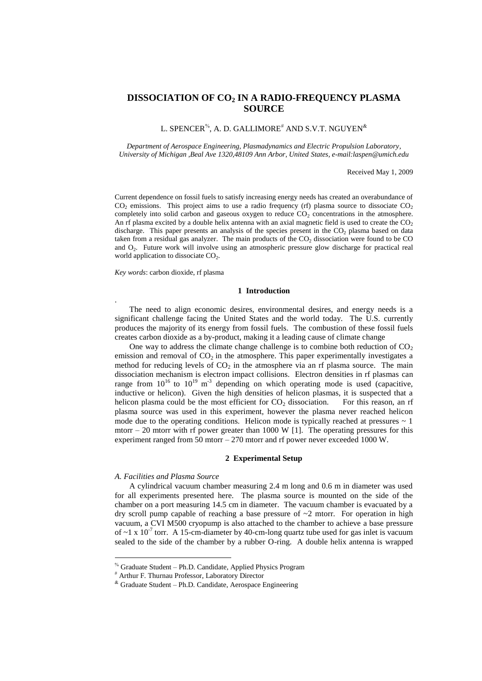# **DISSOCIATION OF CO<sup>2</sup> IN A RADIO-FREQUENCY PLASMA SOURCE**

# L.  ${\rm SPENCER}^{\%},$  A. D.  ${\rm GALLIMORE}^{\#}$  AND  ${\rm S.V.T.}$   ${\rm NGUYEN}^{\&}$

*Department of Aerospace Engineering, Plasmadynamics and Electric Propulsion Laboratory, University of Michigan ,Beal Ave 1320,48109 Ann Arbor, United States, e-mail:laspen@umich.edu*

Received May 1, 2009

Current dependence on fossil fuels to satisfy increasing energy needs has created an overabundance of  $CO<sub>2</sub>$  emissions. This project aims to use a radio frequency (rf) plasma source to dissociate  $CO<sub>2</sub>$ completely into solid carbon and gaseous oxygen to reduce  $CO<sub>2</sub>$  concentrations in the atmosphere. An rf plasma excited by a double helix antenna with an axial magnetic field is used to create the  $CO<sub>2</sub>$ discharge. This paper presents an analysis of the species present in the  $CO<sub>2</sub>$  plasma based on data taken from a residual gas analyzer. The main products of the  $CO<sub>2</sub>$  dissociation were found to be  $CO$ and O<sub>2</sub>. Future work will involve using an atmospheric pressure glow discharge for practical real world application to dissociate  $CO<sub>2</sub>$ .

*Key words*: carbon dioxide, rf plasma

.

<u>.</u>

# **1 Introduction**

The need to align economic desires, environmental desires, and energy needs is a significant challenge facing the United States and the world today. The U.S. currently produces the majority of its energy from fossil fuels. The combustion of these fossil fuels creates carbon dioxide as a by-product, making it a leading cause of climate change

One way to address the climate change challenge is to combine both reduction of  $CO<sub>2</sub>$ emission and removal of  $CO<sub>2</sub>$  in the atmosphere. This paper experimentally investigates a method for reducing levels of  $CO<sub>2</sub>$  in the atmosphere via an rf plasma source. The main dissociation mechanism is electron impact collisions. Electron densities in rf plasmas can range from  $10^{16}$  to  $10^{19}$  m<sup>-3</sup> depending on which operating mode is used (capacitive, inductive or helicon). Given the high densities of helicon plasmas, it is suspected that a helicon plasma could be the most efficient for  $CO<sub>2</sub>$  dissociation. For this reason, an rf plasma source was used in this experiment, however the plasma never reached helicon mode due to the operating conditions. Helicon mode is typically reached at pressures  $\sim 1$ mtorr – 20 mtorr with rf power greater than 1000 W [1]. The operating pressures for this experiment ranged from 50 mtorr – 270 mtorr and rf power never exceeded 1000 W.

### **2 Experimental Setup**

#### *A. Facilities and Plasma Source*

A cylindrical vacuum chamber measuring 2.4 m long and 0.6 m in diameter was used for all experiments presented here. The plasma source is mounted on the side of the chamber on a port measuring 14.5 cm in diameter. The vacuum chamber is evacuated by a dry scroll pump capable of reaching a base pressure of ~2 mtorr. For operation in high vacuum, a CVI M500 cryopump is also attached to the chamber to achieve a base pressure of  $\sim$ 1 x 10<sup>-7</sup> torr. A 15-cm-diameter by 40-cm-long quartz tube used for gas inlet is vacuum sealed to the side of the chamber by a rubber O-ring. A double helix antenna is wrapped

<sup>&</sup>lt;sup>%</sup> Graduate Student – Ph.D. Candidate, Applied Physics Program

Arthur F. Thurnau Professor, Laboratory Director

 $\textsuperscript{x}$  Graduate Student – Ph.D. Candidate, Aerospace Engineering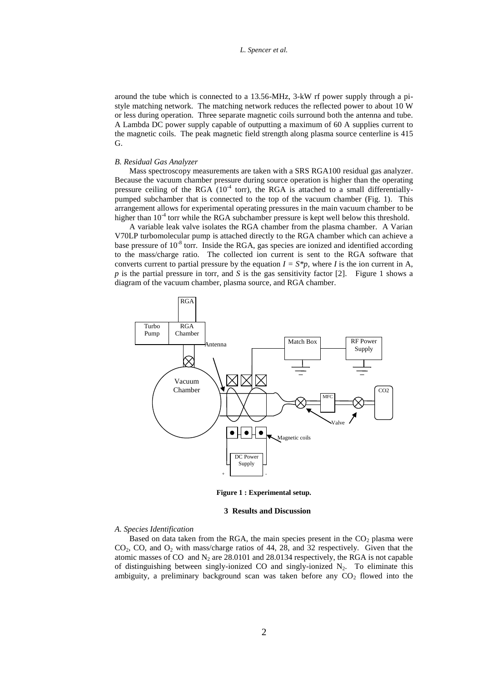around the tube which is connected to a 13.56-MHz, 3-kW rf power supply through a pistyle matching network. The matching network reduces the reflected power to about 10 W or less during operation. Three separate magnetic coils surround both the antenna and tube. A Lambda DC power supply capable of outputting a maximum of 60 A supplies current to the magnetic coils. The peak magnetic field strength along plasma source centerline is 415 G.

#### *B. Residual Gas Analyzer*

Mass spectroscopy measurements are taken with a SRS RGA100 residual gas analyzer. Because the vacuum chamber pressure during source operation is higher than the operating pressure ceiling of the RGA  $(10<sup>-4</sup>$  torr), the RGA is attached to a small differentiallypumped subchamber that is connected to the top of the vacuum chamber (Fig. 1). This arrangement allows for experimental operating pressures in the main vacuum chamber to be higher than  $10<sup>-4</sup>$  torr while the RGA subchamber pressure is kept well below this threshold.

A variable leak valve isolates the RGA chamber from the plasma chamber. A Varian V70LP turbomolecular pump is attached directly to the RGA chamber which can achieve a base pressure of  $10^{-8}$  torr. Inside the RGA, gas species are ionized and identified according to the mass/charge ratio. The collected ion current is sent to the RGA software that converts current to partial pressure by the equation  $I = S^*p$ , where *I* is the ion current in A, *p* is the partial pressure in torr, and *S* is the gas sensitivity factor [2]. Figure 1 shows a diagram of the vacuum chamber, plasma source, and RGA chamber.



**Figure 1 : Experimental setup.**

#### **3 Results and Discussion**

# *A. Species Identification*

Based on data taken from the RGA, the main species present in the  $CO<sub>2</sub>$  plasma were  $CO<sub>2</sub>$ , CO, and  $O<sub>2</sub>$  with mass/charge ratios of 44, 28, and 32 respectively. Given that the atomic masses of CO and  $N_2$  are 28.0101 and 28.0134 respectively, the RGA is not capable of distinguishing between singly-ionized CO and singly-ionized  $N_2$ . To eliminate this ambiguity, a preliminary background scan was taken before any  $CO<sub>2</sub>$  flowed into the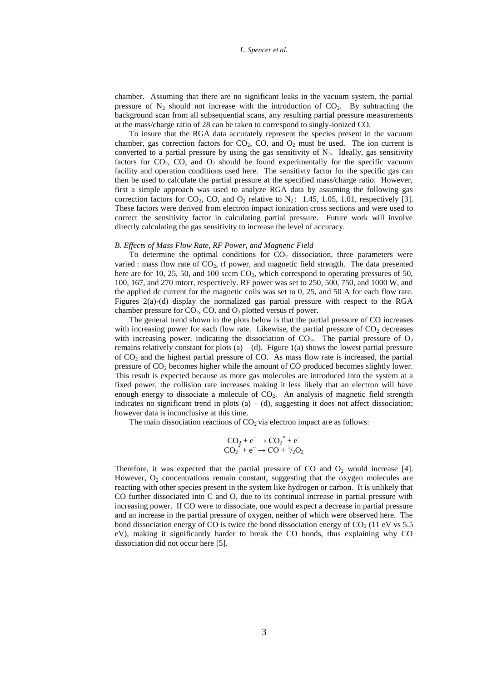chamber. Assuming that there are no significant leaks in the vacuum system, the partial pressure of  $N_2$  should not increase with the introduction of  $CO_2$ . By subtracting the background scan from all subsequential scans, any resulting partial pressure measurements at the mass/charge ratio of 28 can be taken to correspond to singly-ionized CO.

To insure that the RGA data accurately represent the species present in the vacuum chamber, gas correction factors for  $CO<sub>2</sub>$ ,  $CO<sub>2</sub>$ , and  $O<sub>2</sub>$  must be used. The ion current is converted to a partial pressure by using the gas sensitivity of  $N_2$ . Ideally, gas sensitivity factors for  $CO<sub>2</sub>$ ,  $CO<sub>2</sub>$ , and  $O<sub>2</sub>$  should be found experimentally for the specific vacuum facility and operation conditions used here. The sensitivty factor for the specific gas can then be used to calculate the partial pressure at the specified mass/charge ratio. However, first a simple approach was used to analyze RGA data by assuming the following gas correction factors for  $CO_2$ ,  $CO$ , and  $O_2$  relative to  $N_2$ : 1.45, 1.05, 1.01, respectively [3]. These factors were derived from electron impact ionization cross sections and were used to correct the sensitivity factor in calculating partial pressure. Future work will involve directly calculating the gas sensitivity to increase the level of accuracy.

#### *B. Effects of Mass Flow Rate, RF Power, and Magnetic Field*

To determine the optimal conditions for  $CO<sub>2</sub>$  dissociation, three parameters were varied : mass flow rate of  $CO<sub>2</sub>$ , rf power, and magnetic field strength. The data presented here are for 10, 25, 50, and 100 sccm  $CO<sub>2</sub>$ , which correspond to operating pressures of 50, 100, 167, and 270 mtorr, respectively. RF power was set to 250, 500, 750, and 1000 W, and the applied dc current for the magnetic coils was set to 0, 25, and 50 A for each flow rate. Figures 2(a)-(d) display the normalized gas partial pressure with respect to the RGA chamber pressure for  $CO_2$ ,  $CO$ , and  $O_2$  plotted versus rf power.

The general trend shown in the plots below is that the partial pressure of CO increases with increasing power for each flow rate. Likewise, the partial pressure of  $CO<sub>2</sub>$  decreases with increasing power, indicating the dissociation of  $CO<sub>2</sub>$ . The partial pressure of  $O<sub>2</sub>$ remains relatively constant for plots  $(a) - (d)$ . Figure 1 $(a)$  shows the lowest partial pressure of  $CO<sub>2</sub>$  and the highest partial pressure of CO. As mass flow rate is increased, the partial pressure of  $CO<sub>2</sub>$  becomes higher while the amount of CO produced becomes slightly lower. This result is expected because as more gas molecules are introduced into the system at a fixed power, the collision rate increases making it less likely that an electron will have enough energy to dissociate a molecule of  $CO<sub>2</sub>$ . An analysis of magnetic field strength indicates no significant trend in plots (a) – (d), suggesting it does not affect dissociation; however data is inconclusive at this time.

The main dissociation reactions of  $CO<sub>2</sub>$  via electron impact are as follows:

$$
CO_2 + e^- \rightarrow CO_2^* + e^-
$$
  

$$
CO_2^* + e^- \rightarrow CO + \frac{1}{2}O_2
$$

Therefore, it was expected that the partial pressure of CO and  $O_2$  would increase [4]. However,  $O_2$  concentrations remain constant, suggesting that the oxygen molecules are reacting with other species present in the system like hydrogen or carbon. It is unlikely that CO further dissociated into C and O, due to its continual increase in partial pressure with increasing power. If CO were to dissociate, one would expect a decrease in partial pressure and an increase in the partial pressure of oxygen, neither of which were observed here. The bond dissociation energy of CO is twice the bond dissociation energy of  $CO<sub>2</sub>$  (11 eV vs 5.5) eV), making it significantly harder to break the CO bonds, thus explaining why CO dissociation did not occur here [5].